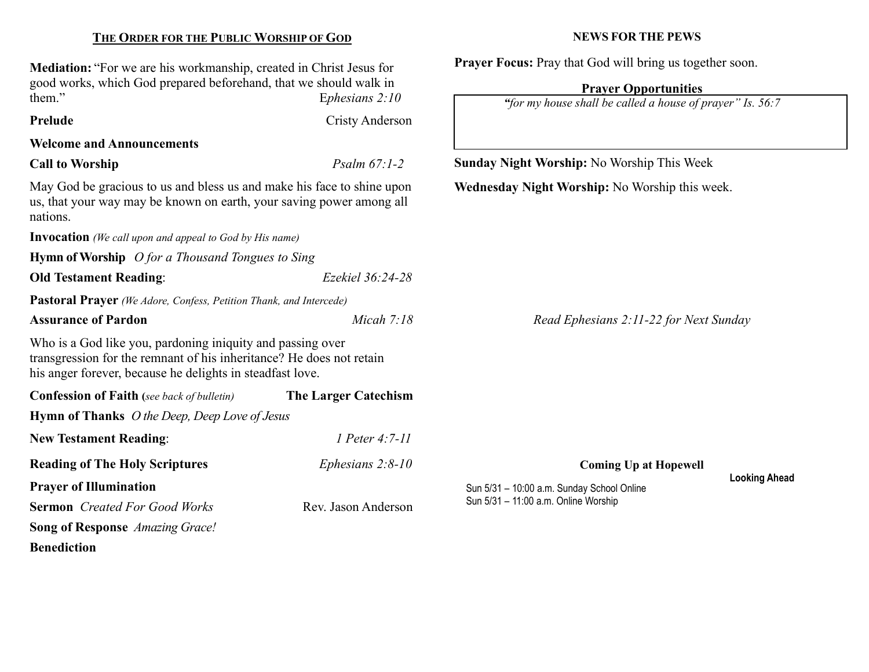| <b>Mediation:</b> "For we are his workmanship, created in Christ Jesus for<br>good works, which God prepared beforehand, that we should walk in                                                                                                                                                                                    |                             | <b>Trayer Pocus.</b> Tray that God will bring us together soon.                          |                      |  |
|------------------------------------------------------------------------------------------------------------------------------------------------------------------------------------------------------------------------------------------------------------------------------------------------------------------------------------|-----------------------------|------------------------------------------------------------------------------------------|----------------------|--|
| them."<br>Ephesians $2:10$                                                                                                                                                                                                                                                                                                         |                             | <b>Prayer Opportunities</b><br>"for my house shall be called a house of prayer" Is. 56:7 |                      |  |
| Prelude                                                                                                                                                                                                                                                                                                                            | <b>Cristy Anderson</b>      |                                                                                          |                      |  |
| <b>Welcome and Announcements</b>                                                                                                                                                                                                                                                                                                   |                             |                                                                                          |                      |  |
| Psalm $67:1-2$<br><b>Call to Worship</b>                                                                                                                                                                                                                                                                                           |                             | <b>Sunday Night Worship: No Worship This Week</b>                                        |                      |  |
| May God be gracious to us and bless us and make his face to shine upon<br>us, that your way may be known on earth, your saving power among all<br>nations.                                                                                                                                                                         |                             | Wednesday Night Worship: No Worship this week.                                           |                      |  |
| <b>Invocation</b> (We call upon and appeal to God by His name)                                                                                                                                                                                                                                                                     |                             |                                                                                          |                      |  |
| <b>Hymn of Worship</b> $O$ for a Thousand Tongues to Sing                                                                                                                                                                                                                                                                          |                             |                                                                                          |                      |  |
| <b>Old Testament Reading:</b>                                                                                                                                                                                                                                                                                                      | Ezekiel 36:24-28            |                                                                                          |                      |  |
| Pastoral Prayer (We Adore, Confess, Petition Thank, and Intercede)                                                                                                                                                                                                                                                                 |                             |                                                                                          |                      |  |
| <b>Assurance of Pardon</b><br>Micah $7:18$                                                                                                                                                                                                                                                                                         |                             | Read Ephesians 2:11-22 for Next Sunday                                                   |                      |  |
| Who is a God like you, pardoning iniquity and passing over<br>transgression for the remnant of his inheritance? He does not retain<br>his anger forever, because he delights in steadfast love.                                                                                                                                    |                             |                                                                                          |                      |  |
| <b>Confession of Faith</b> (see back of bulletin)                                                                                                                                                                                                                                                                                  | <b>The Larger Catechism</b> |                                                                                          |                      |  |
| <b>Hymn of Thanks</b> <i>O the Deep, Deep Love of Jesus</i>                                                                                                                                                                                                                                                                        |                             |                                                                                          |                      |  |
| <b>New Testament Reading:</b>                                                                                                                                                                                                                                                                                                      | 1 Peter 4:7-11              |                                                                                          |                      |  |
| <b>Reading of The Holy Scriptures</b>                                                                                                                                                                                                                                                                                              | Ephesians $2:8-10$          | <b>Coming Up at Hopewell</b>                                                             |                      |  |
| <b>Prayer of Illumination</b>                                                                                                                                                                                                                                                                                                      |                             | Sun 5/31 - 10:00 a.m. Sunday School Online                                               | <b>Looking Ahead</b> |  |
| <b>Sermon</b> Created For Good Works                                                                                                                                                                                                                                                                                               | Rev. Jason Anderson         | Sun 5/31 - 11:00 a.m. Online Worship                                                     |                      |  |
| $\mathbf{r}$ $\mathbf{r}$ $\mathbf{r}$ $\mathbf{r}$ $\mathbf{r}$ $\mathbf{r}$ $\mathbf{r}$ $\mathbf{r}$ $\mathbf{r}$ $\mathbf{r}$ $\mathbf{r}$ $\mathbf{r}$ $\mathbf{r}$ $\mathbf{r}$ $\mathbf{r}$ $\mathbf{r}$ $\mathbf{r}$ $\mathbf{r}$ $\mathbf{r}$ $\mathbf{r}$ $\mathbf{r}$ $\mathbf{r}$ $\mathbf{r}$ $\mathbf{r}$ $\mathbf{$ |                             |                                                                                          |                      |  |

# THE ORDER FOR THE PUBLIC WORSHIP OF GOD

Song of Response Amazing Grace! Benediction

### NEWS FOR THE PEWS

Prayer Focus: Pray that God will bring us together soon.